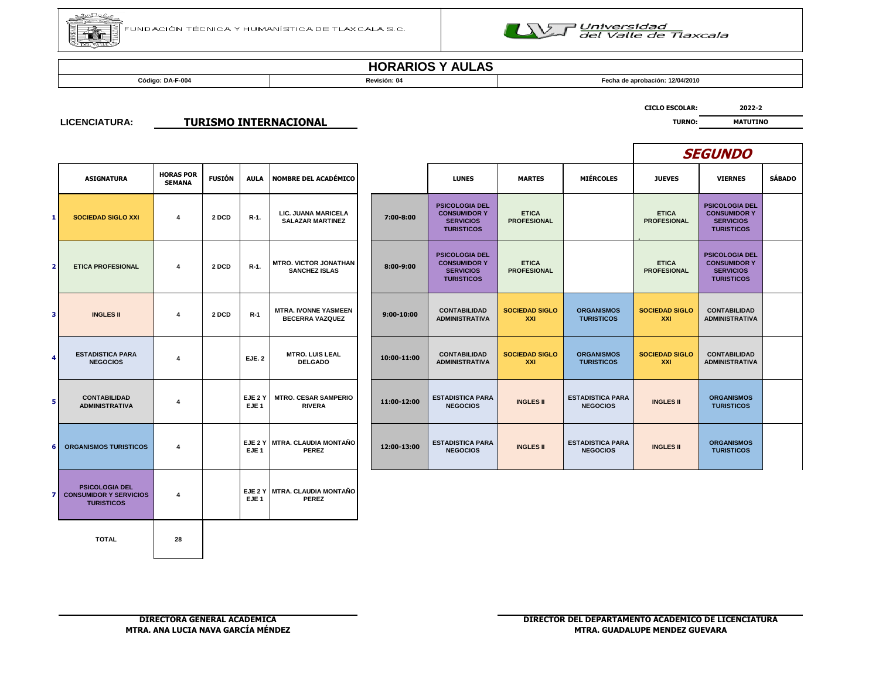



**Código: DA-F-004 Revisión: 04 Fecha de aprobación: 12/04/2010**

**CICLO ESCOLAR: 2022-2**

#### **LICENCIATURA: TURISMO INTERNACIONAL** *TURISMO INTERNACIONAL*

|   |                                                                             |                                   |               |                             |                                                       |                |                                                                                       |                                    |                                            |                                    | <b>SEGUNDO</b>                                                                        |               |
|---|-----------------------------------------------------------------------------|-----------------------------------|---------------|-----------------------------|-------------------------------------------------------|----------------|---------------------------------------------------------------------------------------|------------------------------------|--------------------------------------------|------------------------------------|---------------------------------------------------------------------------------------|---------------|
|   | <b>ASIGNATURA</b>                                                           | <b>HORAS POR</b><br><b>SEMANA</b> | <b>FUSIÓN</b> | <b>AULA</b>                 | <b>NOMBRE DEL ACADÉMICO</b>                           |                | <b>LUNES</b>                                                                          | <b>MARTES</b>                      | <b>MIÉRCOLES</b>                           | <b>JUEVES</b>                      | <b>VIERNES</b>                                                                        | <b>SÁBADO</b> |
|   | <b>SOCIEDAD SIGLO XXI</b>                                                   | 4                                 | 2 DCD         | $R-1$ .                     | LIC. JUANA MARICELA<br><b>SALAZAR MARTINEZ</b>        | 7:00-8:00      | <b>PSICOLOGIA DEL</b><br><b>CONSUMIDOR Y</b><br><b>SERVICIOS</b><br><b>TURISTICOS</b> | <b>ETICA</b><br><b>PROFESIONAL</b> |                                            | <b>ETICA</b><br><b>PROFESIONAL</b> | <b>PSICOLOGIA DEL</b><br><b>CONSUMIDOR Y</b><br><b>SERVICIOS</b><br><b>TURISTICOS</b> |               |
|   | <b>ETICA PROFESIONAL</b>                                                    | 4                                 | 2 DCD         | $R-1$ .                     | <b>MTRO, VICTOR JONATHAN</b><br><b>SANCHEZ ISLAS</b>  | $8:00 - 9:00$  | <b>PSICOLOGIA DEL</b><br><b>CONSUMIDOR Y</b><br><b>SERVICIOS</b><br><b>TURISTICOS</b> | <b>ETICA</b><br><b>PROFESIONAL</b> |                                            | <b>ETICA</b><br><b>PROFESIONAL</b> | <b>PSICOLOGIA DEL</b><br><b>CONSUMIDOR Y</b><br><b>SERVICIOS</b><br><b>TURISTICOS</b> |               |
| Ľ | <b>INGLES II</b>                                                            | 4                                 | 2 DCD         | $R-1$                       | <b>MTRA. IVONNE YASMEEN</b><br><b>BECERRA VAZQUEZ</b> | $9:00 - 10:00$ | <b>CONTABILIDAD</b><br><b>ADMINISTRATIVA</b>                                          | <b>SOCIEDAD SIGLO</b><br>XXI       | <b>ORGANISMOS</b><br><b>TURISTICOS</b>     | <b>SOCIEDAD SIGLO</b><br>XXI       | <b>CONTABILIDAD</b><br><b>ADMINISTRATIVA</b>                                          |               |
|   | <b>ESTADISTICA PARA</b><br><b>NEGOCIOS</b>                                  | 4                                 |               | <b>EJE. 2</b>               | <b>MTRO. LUIS LEAL</b><br><b>DELGADO</b>              | 10:00-11:00    | <b>CONTABILIDAD</b><br><b>ADMINISTRATIVA</b>                                          | <b>SOCIEDAD SIGLO</b><br>XXI       | <b>ORGANISMOS</b><br><b>TURISTICOS</b>     | <b>SOCIEDAD SIGLO</b><br>XXI       | <b>CONTABILIDAD</b><br><b>ADMINISTRATIVA</b>                                          |               |
|   | <b>CONTABILIDAD</b><br><b>ADMINISTRATIVA</b>                                | 4                                 |               | EJE 2 Y<br>EJE <sub>1</sub> | <b>MTRO. CESAR SAMPERIO</b><br><b>RIVERA</b>          | 11:00-12:00    | <b>ESTADISTICA PARA</b><br><b>NEGOCIOS</b>                                            | <b>INGLES II</b>                   | <b>ESTADISTICA PARA</b><br><b>NEGOCIOS</b> | <b>INGLES II</b>                   | <b>ORGANISMOS</b><br><b>TURISTICOS</b>                                                |               |
|   | <b>ORGANISMOS TURISTICOS</b>                                                | 4                                 |               | EJE <sub>1</sub>            | EJE 2 Y MTRA, CLAUDIA MONTAÑO<br><b>PEREZ</b>         | 12:00-13:00    | <b>ESTADISTICA PARA</b><br><b>NEGOCIOS</b>                                            | <b>INGLES II</b>                   | <b>ESTADISTICA PARA</b><br><b>NEGOCIOS</b> | <b>INGLES II</b>                   | <b>ORGANISMOS</b><br><b>TURISTICOS</b>                                                |               |
|   | <b>PSICOLOGIA DEL</b><br><b>CONSUMIDOR Y SERVICIOS</b><br><b>TURISTICOS</b> | 4                                 |               | EJE <sub>1</sub>            | EJE 2 Y MTRA. CLAUDIA MONTAÑO<br><b>PEREZ</b>         |                |                                                                                       |                                    |                                            |                                    |                                                                                       |               |

**TOTAL 28**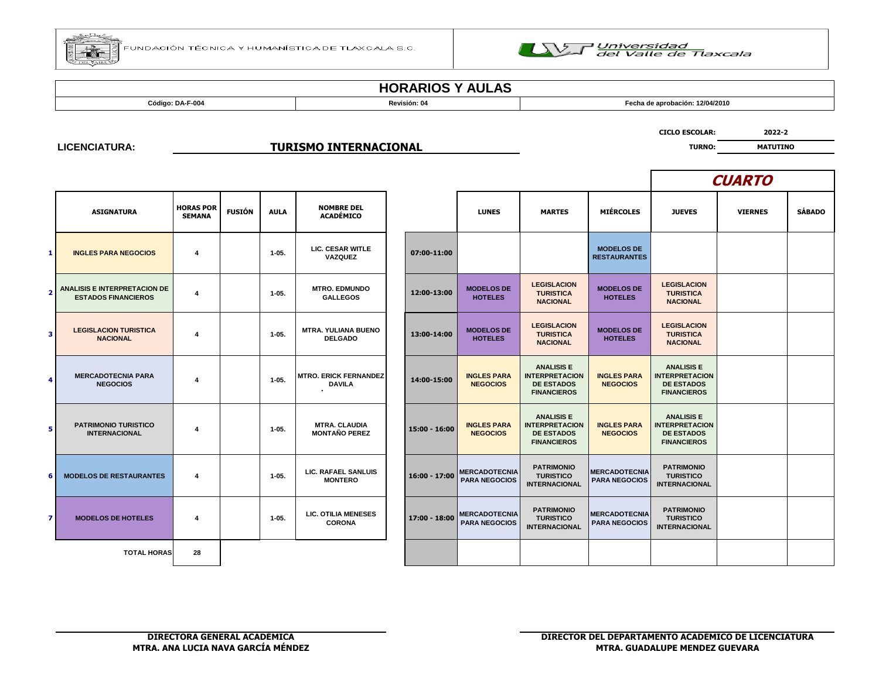



**Código: DA-F-004 Revisión: 04 Fecha de aprobación: 12/04/2010**

**LICENCIATURA:**

#### **TURISMO INTERNACIONAL** *TURISMO* **INTERNACIONAL**

**CICLO ESCOLAR: 2022-2**

**CUARTO**

|                | <b>ASIGNATURA</b>                                          | <b>HORAS POR</b>        |               |             |                                               |                 |                                              |                                                                                       |                                              |                                                                                       |                |               |
|----------------|------------------------------------------------------------|-------------------------|---------------|-------------|-----------------------------------------------|-----------------|----------------------------------------------|---------------------------------------------------------------------------------------|----------------------------------------------|---------------------------------------------------------------------------------------|----------------|---------------|
|                |                                                            | <b>SEMANA</b>           | <b>FUSIÓN</b> | <b>AULA</b> | <b>NOMBRE DEL</b><br><b>ACADÉMICO</b>         |                 | <b>LUNES</b>                                 | <b>MARTES</b>                                                                         | <b>MIÉRCOLES</b>                             | <b>JUEVES</b>                                                                         | <b>VIERNES</b> | <b>SÁBADO</b> |
| 1              | <b>INGLES PARA NEGOCIOS</b>                                | $\overline{\mathbf{4}}$ |               | $1 - 05.$   | LIC. CESAR WITLE<br>VAZQUEZ                   | 07:00-11:00     |                                              |                                                                                       | <b>MODELOS DE</b><br><b>RESTAURANTES</b>     |                                                                                       |                |               |
| $\overline{2}$ | ANALISIS E INTERPRETACION DE<br><b>ESTADOS FINANCIEROS</b> | $\overline{4}$          |               | $1 - 05.$   | <b>MTRO, EDMUNDO</b><br><b>GALLEGOS</b>       | 12:00-13:00     | <b>MODELOS DE</b><br><b>HOTELES</b>          | <b>LEGISLACION</b><br><b>TURISTICA</b><br><b>NACIONAL</b>                             | <b>MODELOS DE</b><br><b>HOTELES</b>          | <b>LEGISLACION</b><br><b>TURISTICA</b><br><b>NACIONAL</b>                             |                |               |
| 3              | <b>LEGISLACION TURISTICA</b><br><b>NACIONAL</b>            | $\overline{\mathbf{4}}$ |               | $1 - 05.$   | <b>MTRA, YULIANA BUENO</b><br><b>DELGADO</b>  | 13:00-14:00     | <b>MODELOS DE</b><br><b>HOTELES</b>          | <b>LEGISLACION</b><br><b>TURISTICA</b><br><b>NACIONAL</b>                             | <b>MODELOS DE</b><br><b>HOTELES</b>          | <b>LEGISLACION</b><br><b>TURISTICA</b><br><b>NACIONAL</b>                             |                |               |
| 4              | <b>MERCADOTECNIA PARA</b><br><b>NEGOCIOS</b>               | $\boldsymbol{4}$        |               | $1 - 05.$   | <b>MTRO. ERICK FERNANDEZ</b><br><b>DAVILA</b> | 14:00-15:00     | <b>INGLES PARA</b><br><b>NEGOCIOS</b>        | <b>ANALISIS E</b><br><b>INTERPRETACION</b><br><b>DE ESTADOS</b><br><b>FINANCIEROS</b> | <b>INGLES PARA</b><br><b>NEGOCIOS</b>        | <b>ANALISIS E</b><br><b>INTERPRETACION</b><br><b>DE ESTADOS</b><br><b>FINANCIEROS</b> |                |               |
| 5              | <b>PATRIMONIO TURISTICO</b><br><b>INTERNACIONAL</b>        | 4                       |               | $1 - 05.$   | <b>MTRA. CLAUDIA</b><br><b>MONTAÑO PEREZ</b>  | $15:00 - 16:00$ | <b>INGLES PARA</b><br><b>NEGOCIOS</b>        | <b>ANALISIS E</b><br><b>INTERPRETACION</b><br><b>DE ESTADOS</b><br><b>FINANCIEROS</b> | <b>INGLES PARA</b><br><b>NEGOCIOS</b>        | <b>ANALISIS E</b><br><b>INTERPRETACION</b><br><b>DE ESTADOS</b><br><b>FINANCIEROS</b> |                |               |
| 6              | <b>MODELOS DE RESTAURANTES</b>                             | $\overline{\mathbf{4}}$ |               | $1 - 05.$   | <b>LIC. RAFAEL SANLUIS</b><br><b>MONTERO</b>  | $16:00 - 17:00$ | <b>MERCADOTECNIA</b><br><b>PARA NEGOCIOS</b> | <b>PATRIMONIO</b><br><b>TURISTICO</b><br><b>INTERNACIONAL</b>                         | <b>MERCADOTECNIA</b><br><b>PARA NEGOCIOS</b> | <b>PATRIMONIO</b><br><b>TURISTICO</b><br><b>INTERNACIONAL</b>                         |                |               |
| $\overline{7}$ | <b>MODELOS DE HOTELES</b>                                  | $\overline{\mathbf{4}}$ |               | $1 - 05.$   | <b>LIC. OTILIA MENESES</b><br><b>CORONA</b>   | 17:00 - 18:00   | <b>MERCADOTECNIA</b><br><b>PARA NEGOCIOS</b> | <b>PATRIMONIO</b><br><b>TURISTICO</b><br><b>INTERNACIONAL</b>                         | <b>MERCADOTECNIA</b><br><b>PARA NEGOCIOS</b> | <b>PATRIMONIO</b><br><b>TURISTICO</b><br><b>INTERNACIONAL</b>                         |                |               |
|                | <b>TOTAL HORAS</b>                                         | 28                      |               |             |                                               |                 |                                              |                                                                                       |                                              |                                                                                       |                |               |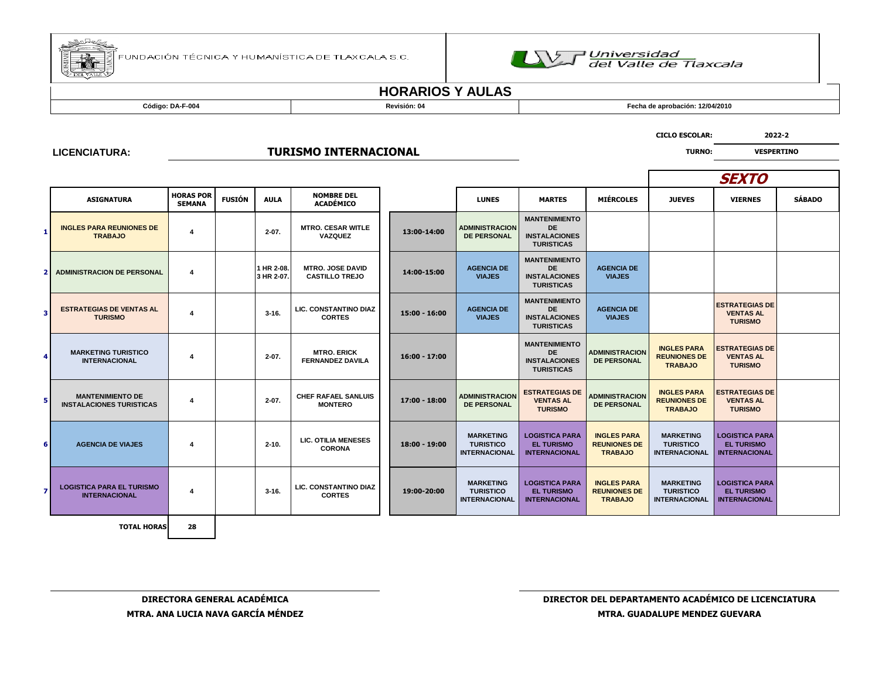



**Código: DA-F-004 Revisión: 04 Fecha de aprobación: 12/04/2010**

**LICENCIATURA:**

### **TURISMO INTERNACIONAL TURISMO INTERNACIONAL**

|   |                                                            |                                   |               |                          |                                                  |                 |                                                              |                                                                                |                                                             | <b>SEXTO</b>                                                 |                                                                    |               |
|---|------------------------------------------------------------|-----------------------------------|---------------|--------------------------|--------------------------------------------------|-----------------|--------------------------------------------------------------|--------------------------------------------------------------------------------|-------------------------------------------------------------|--------------------------------------------------------------|--------------------------------------------------------------------|---------------|
|   | <b>ASIGNATURA</b>                                          | <b>HORAS POR</b><br><b>SEMANA</b> | <b>FUSIÓN</b> | <b>AULA</b>              | <b>NOMBRE DEL</b><br><b>ACADÉMICO</b>            |                 | <b>LUNES</b>                                                 | <b>MARTES</b>                                                                  | <b>MIÉRCOLES</b>                                            | <b>JUEVES</b>                                                | <b>VIERNES</b>                                                     | <b>SÁBADO</b> |
|   | <b>INGLES PARA REUNIONES DE</b><br><b>TRABAJO</b>          | 4                                 |               | $2 - 07$ .               | <b>MTRO. CESAR WITLE</b><br>VAZQUEZ              | 13:00-14:00     | <b>ADMINISTRACION</b><br><b>DE PERSONAL</b>                  | <b>MANTENIMIENTO</b><br><b>DE</b><br><b>INSTALACIONES</b><br><b>TURISTICAS</b> |                                                             |                                                              |                                                                    |               |
|   | <b>ADMINISTRACION DE PERSONAL</b>                          | 4                                 |               | 1 HR 2-08.<br>3 HR 2-07. | <b>MTRO. JOSE DAVID</b><br><b>CASTILLO TREJO</b> | 14:00-15:00     | <b>AGENCIA DE</b><br><b>VIAJES</b>                           | <b>MANTENIMIENTO</b><br><b>DE</b><br><b>INSTALACIONES</b><br><b>TURISTICAS</b> | <b>AGENCIA DE</b><br><b>VIAJES</b>                          |                                                              |                                                                    |               |
|   | <b>ESTRATEGIAS DE VENTAS AL</b><br><b>TURISMO</b>          | 4                                 |               | $3 - 16.$                | LIC. CONSTANTINO DIAZ<br><b>CORTES</b>           | 15:00 - 16:00   | <b>AGENCIA DE</b><br><b>VIAJES</b>                           | <b>MANTENIMIENTO</b><br><b>DE</b><br><b>INSTALACIONES</b><br><b>TURISTICAS</b> | <b>AGENCIA DE</b><br><b>VIAJES</b>                          |                                                              | <b>ESTRATEGIAS DE</b><br><b>VENTAS AL</b><br><b>TURISMO</b>        |               |
|   | <b>MARKETING TURISTICO</b><br><b>INTERNACIONAL</b>         | 4                                 |               | $2 - 07$ .               | <b>MTRO. ERICK</b><br><b>FERNANDEZ DAVILA</b>    | 16:00 - 17:00   |                                                              | <b>MANTENIMIENTO</b><br><b>DE</b><br><b>INSTALACIONES</b><br><b>TURISTICAS</b> | <b>ADMINISTRACION</b><br><b>DE PERSONAL</b>                 | <b>INGLES PARA</b><br><b>REUNIONES DE</b><br><b>TRABAJO</b>  | <b>ESTRATEGIAS DE</b><br><b>VENTAS AL</b><br><b>TURISMO</b>        |               |
|   | <b>MANTENIMIENTO DE</b><br><b>INSTALACIONES TURISTICAS</b> | 4                                 |               | $2 - 07$ .               | <b>CHEF RAFAEL SANLUIS</b><br><b>MONTERO</b>     | 17:00 - 18:00   | <b>ADMINISTRACION</b><br><b>DE PERSONAL</b>                  | <b>ESTRATEGIAS DE</b><br><b>VENTAS AL</b><br><b>TURISMO</b>                    | <b>ADMINISTRACION</b><br><b>DE PERSONAL</b>                 | <b>INGLES PARA</b><br><b>REUNIONES DE</b><br><b>TRABAJO</b>  | <b>ESTRATEGIAS DE</b><br><b>VENTAS AL</b><br><b>TURISMO</b>        |               |
| 6 | <b>AGENCIA DE VIAJES</b>                                   | 4                                 |               | $2 - 10.$                | <b>LIC. OTILIA MENESES</b><br><b>CORONA</b>      | $18:00 - 19:00$ | <b>MARKETING</b><br><b>TURISTICO</b><br><b>INTERNACIONAL</b> | <b>LOGISTICA PARA</b><br><b>EL TURISMO</b><br><b>INTERNACIONAL</b>             | <b>INGLES PARA</b><br><b>REUNIONES DE</b><br><b>TRABAJO</b> | <b>MARKETING</b><br><b>TURISTICO</b><br><b>INTERNACIONAL</b> | <b>LOGISTICA PARA</b><br><b>EL TURISMO</b><br><b>INTERNACIONAL</b> |               |
|   | <b>LOGISTICA PARA EL TURISMO</b><br><b>INTERNACIONAL</b>   | 4                                 |               | $3 - 16.$                | LIC. CONSTANTINO DIAZ<br><b>CORTES</b>           | 19:00-20:00     | <b>MARKETING</b><br><b>TURISTICO</b><br><b>INTERNACIONAL</b> | <b>LOGISTICA PARA</b><br><b>EL TURISMO</b><br><b>INTERNACIONAL</b>             | <b>INGLES PARA</b><br><b>REUNIONES DE</b><br><b>TRABAJO</b> | <b>MARKETING</b><br><b>TURISTICO</b><br><b>INTERNACIONAL</b> | <b>LOGISTICA PARA</b><br><b>EL TURISMO</b><br><b>INTERNACIONAL</b> |               |
|   | <b>TOTAL HORAS</b>                                         | 28                                |               |                          |                                                  |                 |                                                              |                                                                                |                                                             |                                                              |                                                                    |               |

**CICLO ESCOLAR: 2022-2**